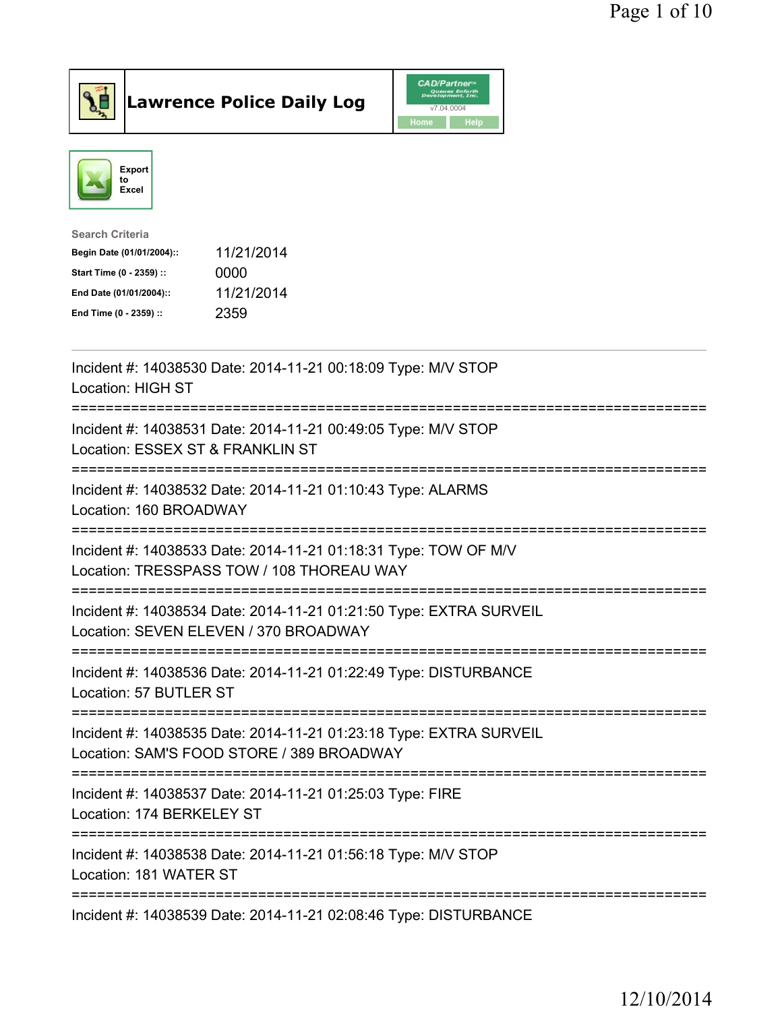



| <b>Search Criteria</b>    |            |
|---------------------------|------------|
| Begin Date (01/01/2004):: | 11/21/2014 |
| Start Time (0 - 2359) ::  | 0000       |
| End Date (01/01/2004)::   | 11/21/2014 |
| End Time (0 - 2359) ::    | 2359       |
|                           |            |

| Incident #: 14038530 Date: 2014-11-21 00:18:09 Type: M/V STOP<br><b>Location: HIGH ST</b>                                                      |
|------------------------------------------------------------------------------------------------------------------------------------------------|
| Incident #: 14038531 Date: 2014-11-21 00:49:05 Type: M/V STOP<br>Location: ESSEX ST & FRANKLIN ST<br>-------------------                       |
| Incident #: 14038532 Date: 2014-11-21 01:10:43 Type: ALARMS<br>Location: 160 BROADWAY<br>----------------                                      |
| Incident #: 14038533 Date: 2014-11-21 01:18:31 Type: TOW OF M/V<br>Location: TRESSPASS TOW / 108 THOREAU WAY<br>============================== |
| Incident #: 14038534 Date: 2014-11-21 01:21:50 Type: EXTRA SURVEIL<br>Location: SEVEN ELEVEN / 370 BROADWAY<br>=============================   |
| Incident #: 14038536 Date: 2014-11-21 01:22:49 Type: DISTURBANCE<br>Location: 57 BUTLER ST<br>======================================           |
| Incident #: 14038535 Date: 2014-11-21 01:23:18 Type: EXTRA SURVEIL<br>Location: SAM'S FOOD STORE / 389 BROADWAY                                |
| =====================================<br>Incident #: 14038537 Date: 2014-11-21 01:25:03 Type: FIRE<br>Location: 174 BERKELEY ST                |
| Incident #: 14038538 Date: 2014-11-21 01:56:18 Type: M/V STOP<br>Location: 181 WATER ST                                                        |
| Incident #: 14038539 Date: 2014-11-21 02:08:46 Type: DISTURBANCE                                                                               |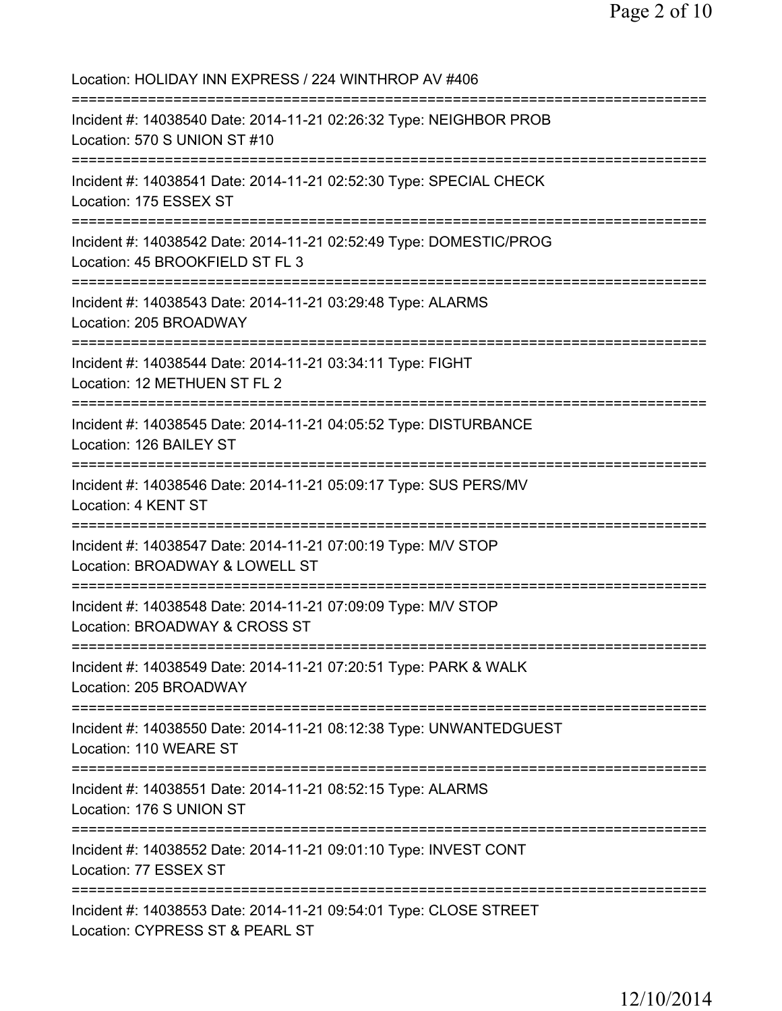Location: HOLIDAY INN EXPRESS / 224 WINTHROP AV #406 =========================================================================== Incident #: 14038540 Date: 2014-11-21 02:26:32 Type: NEIGHBOR PROB Location: 570 S UNION ST #10 =========================================================================== Incident #: 14038541 Date: 2014-11-21 02:52:30 Type: SPECIAL CHECK Location: 175 ESSEX ST =========================================================================== Incident #: 14038542 Date: 2014-11-21 02:52:49 Type: DOMESTIC/PROG Location: 45 BROOKFIELD ST FL 3 =========================================================================== Incident #: 14038543 Date: 2014-11-21 03:29:48 Type: ALARMS Location: 205 BROADWAY =========================================================================== Incident #: 14038544 Date: 2014-11-21 03:34:11 Type: FIGHT Location: 12 METHUEN ST FL 2 =========================================================================== Incident #: 14038545 Date: 2014-11-21 04:05:52 Type: DISTURBANCE Location: 126 BAILEY ST =========================================================================== Incident #: 14038546 Date: 2014-11-21 05:09:17 Type: SUS PERS/MV Location: 4 KENT ST =========================================================================== Incident #: 14038547 Date: 2014-11-21 07:00:19 Type: M/V STOP Location: BROADWAY & LOWELL ST =========================================================================== Incident #: 14038548 Date: 2014-11-21 07:09:09 Type: M/V STOP Location: BROADWAY & CROSS ST =========================================================================== Incident #: 14038549 Date: 2014-11-21 07:20:51 Type: PARK & WALK Location: 205 BROADWAY =========================================================================== Incident #: 14038550 Date: 2014-11-21 08:12:38 Type: UNWANTEDGUEST Location: 110 WEARE ST =========================================================================== Incident #: 14038551 Date: 2014-11-21 08:52:15 Type: ALARMS Location: 176 S UNION ST =========================================================================== Incident #: 14038552 Date: 2014-11-21 09:01:10 Type: INVEST CONT Location: 77 ESSEX ST =========================================================================== Incident #: 14038553 Date: 2014-11-21 09:54:01 Type: CLOSE STREET Location: CYPRESS ST & PEARL ST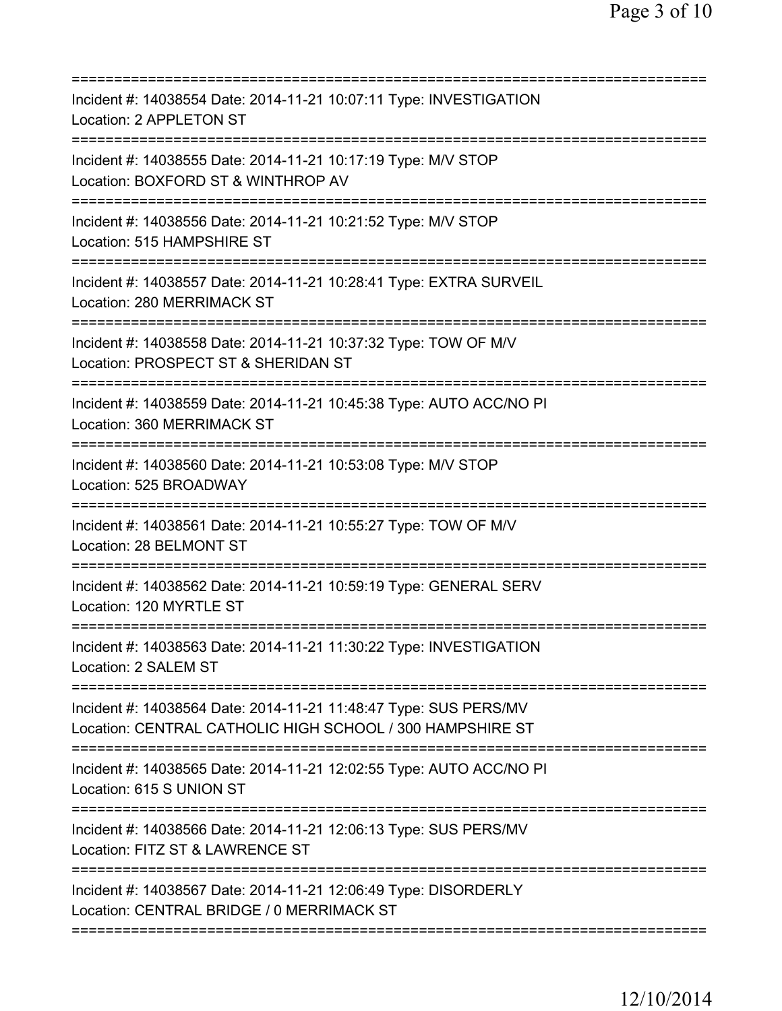| ==========================                                                                                                                                |
|-----------------------------------------------------------------------------------------------------------------------------------------------------------|
| Incident #: 14038554 Date: 2014-11-21 10:07:11 Type: INVESTIGATION<br>Location: 2 APPLETON ST                                                             |
| Incident #: 14038555 Date: 2014-11-21 10:17:19 Type: M/V STOP<br>Location: BOXFORD ST & WINTHROP AV<br>========================                           |
| Incident #: 14038556 Date: 2014-11-21 10:21:52 Type: M/V STOP<br>Location: 515 HAMPSHIRE ST                                                               |
| Incident #: 14038557 Date: 2014-11-21 10:28:41 Type: EXTRA SURVEIL<br>Location: 280 MERRIMACK ST                                                          |
| Incident #: 14038558 Date: 2014-11-21 10:37:32 Type: TOW OF M/V<br>Location: PROSPECT ST & SHERIDAN ST                                                    |
| Incident #: 14038559 Date: 2014-11-21 10:45:38 Type: AUTO ACC/NO PI<br>Location: 360 MERRIMACK ST                                                         |
| Incident #: 14038560 Date: 2014-11-21 10:53:08 Type: M/V STOP<br>Location: 525 BROADWAY                                                                   |
| Incident #: 14038561 Date: 2014-11-21 10:55:27 Type: TOW OF M/V<br>Location: 28 BELMONT ST                                                                |
| Incident #: 14038562 Date: 2014-11-21 10:59:19 Type: GENERAL SERV<br>Location: 120 MYRTLE ST                                                              |
| Incident #: 14038563 Date: 2014-11-21 11:30:22 Type: INVESTIGATION<br>Location: 2 SALEM ST                                                                |
| Incident #: 14038564 Date: 2014-11-21 11:48:47 Type: SUS PERS/MV<br>Location: CENTRAL CATHOLIC HIGH SCHOOL / 300 HAMPSHIRE ST<br>======================== |
| Incident #: 14038565 Date: 2014-11-21 12:02:55 Type: AUTO ACC/NO PI<br>Location: 615 S UNION ST                                                           |
| Incident #: 14038566 Date: 2014-11-21 12:06:13 Type: SUS PERS/MV<br>Location: FITZ ST & LAWRENCE ST                                                       |
| Incident #: 14038567 Date: 2014-11-21 12:06:49 Type: DISORDERLY<br>Location: CENTRAL BRIDGE / 0 MERRIMACK ST                                              |
|                                                                                                                                                           |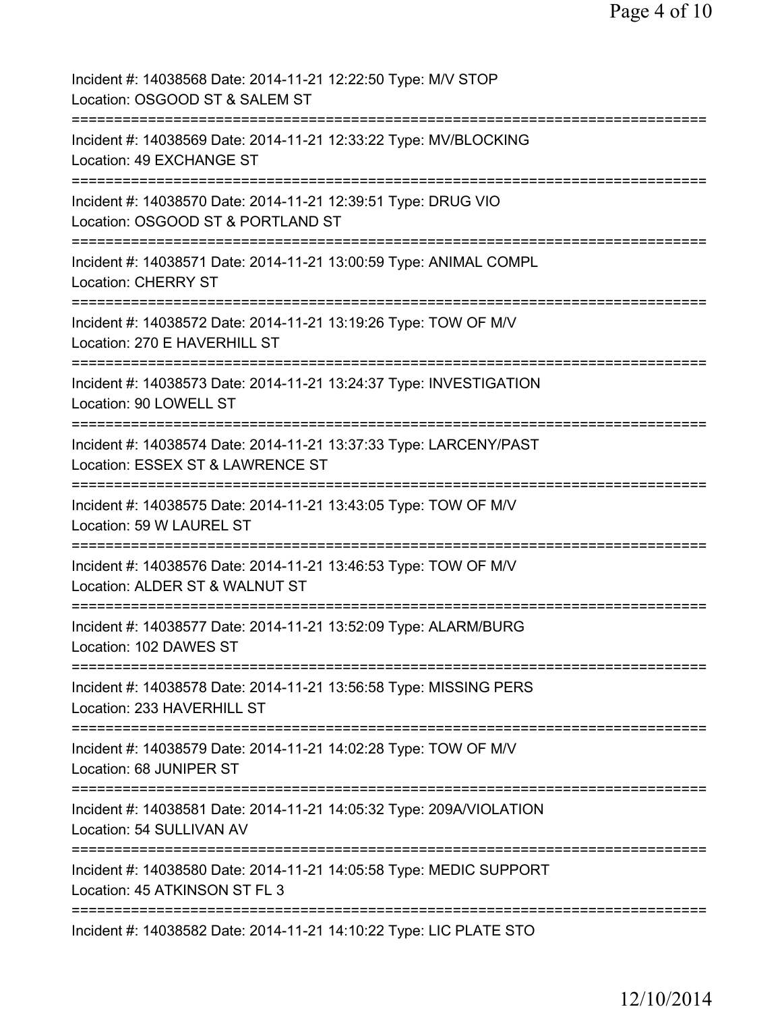| Incident #: 14038568 Date: 2014-11-21 12:22:50 Type: M/V STOP<br>Location: OSGOOD ST & SALEM ST                                   |
|-----------------------------------------------------------------------------------------------------------------------------------|
| Incident #: 14038569 Date: 2014-11-21 12:33:22 Type: MV/BLOCKING<br>Location: 49 EXCHANGE ST                                      |
| Incident #: 14038570 Date: 2014-11-21 12:39:51 Type: DRUG VIO<br>Location: OSGOOD ST & PORTLAND ST                                |
| Incident #: 14038571 Date: 2014-11-21 13:00:59 Type: ANIMAL COMPL<br><b>Location: CHERRY ST</b>                                   |
| Incident #: 14038572 Date: 2014-11-21 13:19:26 Type: TOW OF M/V<br>Location: 270 E HAVERHILL ST<br>==========                     |
| Incident #: 14038573 Date: 2014-11-21 13:24:37 Type: INVESTIGATION<br>Location: 90 LOWELL ST                                      |
| Incident #: 14038574 Date: 2014-11-21 13:37:33 Type: LARCENY/PAST<br>Location: ESSEX ST & LAWRENCE ST<br>======================== |
| ===============<br>Incident #: 14038575 Date: 2014-11-21 13:43:05 Type: TOW OF M/V<br>Location: 59 W LAUREL ST                    |
| Incident #: 14038576 Date: 2014-11-21 13:46:53 Type: TOW OF M/V<br>Location: ALDER ST & WALNUT ST                                 |
| ============<br>Incident #: 14038577 Date: 2014-11-21 13:52:09 Type: ALARM/BURG<br>Location: 102 DAWES ST                         |
| Incident #: 14038578 Date: 2014-11-21 13:56:58 Type: MISSING PERS<br>Location: 233 HAVERHILL ST                                   |
| Incident #: 14038579 Date: 2014-11-21 14:02:28 Type: TOW OF M/V<br>Location: 68 JUNIPER ST                                        |
| Incident #: 14038581 Date: 2014-11-21 14:05:32 Type: 209A/VIOLATION<br>Location: 54 SULLIVAN AV                                   |
| Incident #: 14038580 Date: 2014-11-21 14:05:58 Type: MEDIC SUPPORT<br>Location: 45 ATKINSON ST FL 3                               |
| Incident #: 14038582 Date: 2014-11-21 14:10:22 Type: LIC PLATE STO                                                                |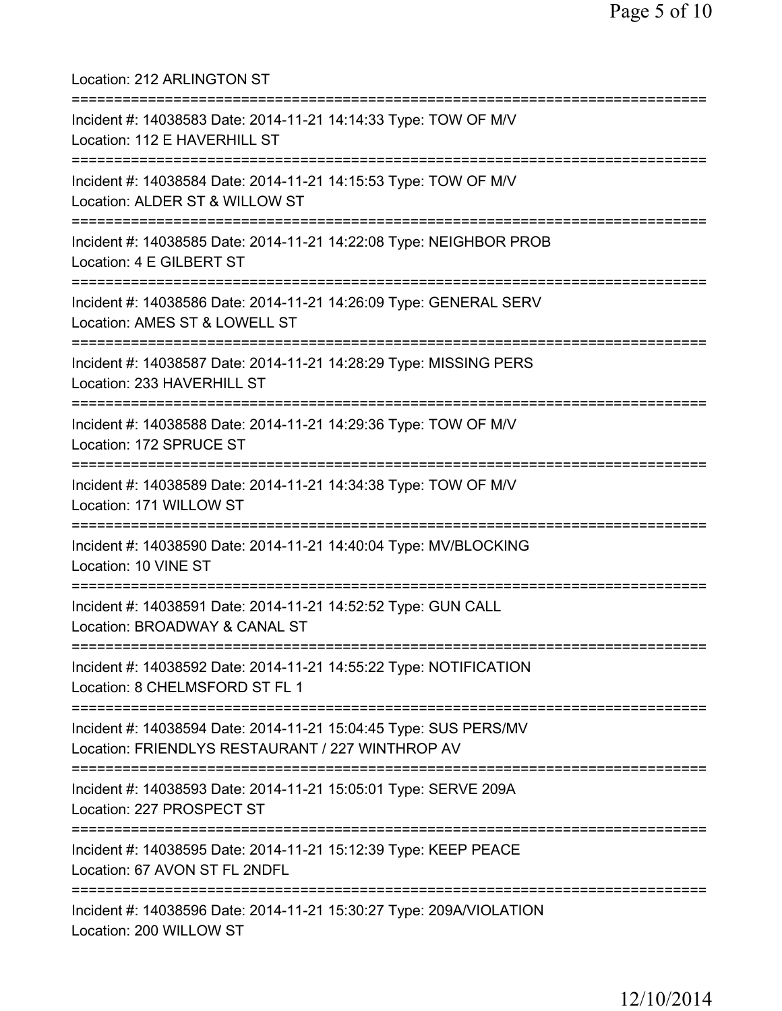| Location: 212 ARLINGTON ST                                                                                                     |
|--------------------------------------------------------------------------------------------------------------------------------|
| Incident #: 14038583 Date: 2014-11-21 14:14:33 Type: TOW OF M/V<br>Location: 112 E HAVERHILL ST                                |
| Incident #: 14038584 Date: 2014-11-21 14:15:53 Type: TOW OF M/V<br>Location: ALDER ST & WILLOW ST<br>========================= |
| Incident #: 14038585 Date: 2014-11-21 14:22:08 Type: NEIGHBOR PROB<br>Location: 4 E GILBERT ST                                 |
| Incident #: 14038586 Date: 2014-11-21 14:26:09 Type: GENERAL SERV<br>Location: AMES ST & LOWELL ST                             |
| Incident #: 14038587 Date: 2014-11-21 14:28:29 Type: MISSING PERS<br>Location: 233 HAVERHILL ST                                |
| Incident #: 14038588 Date: 2014-11-21 14:29:36 Type: TOW OF M/V<br>Location: 172 SPRUCE ST                                     |
| Incident #: 14038589 Date: 2014-11-21 14:34:38 Type: TOW OF M/V<br>Location: 171 WILLOW ST                                     |
| Incident #: 14038590 Date: 2014-11-21 14:40:04 Type: MV/BLOCKING<br>Location: 10 VINE ST                                       |
| Incident #: 14038591 Date: 2014-11-21 14:52:52 Type: GUN CALL<br>Location: BROADWAY & CANAL ST                                 |
| ================<br>Incident #: 14038592 Date: 2014-11-21 14:55:22 Type: NOTIFICATION<br>Location: 8 CHELMSFORD ST FL 1        |
| Incident #: 14038594 Date: 2014-11-21 15:04:45 Type: SUS PERS/MV<br>Location: FRIENDLYS RESTAURANT / 227 WINTHROP AV           |
| Incident #: 14038593 Date: 2014-11-21 15:05:01 Type: SERVE 209A<br>Location: 227 PROSPECT ST                                   |
| Incident #: 14038595 Date: 2014-11-21 15:12:39 Type: KEEP PEACE<br>Location: 67 AVON ST FL 2NDFL                               |
| Incident #: 14038596 Date: 2014-11-21 15:30:27 Type: 209A/VIOLATION<br>Location: 200 WILLOW ST                                 |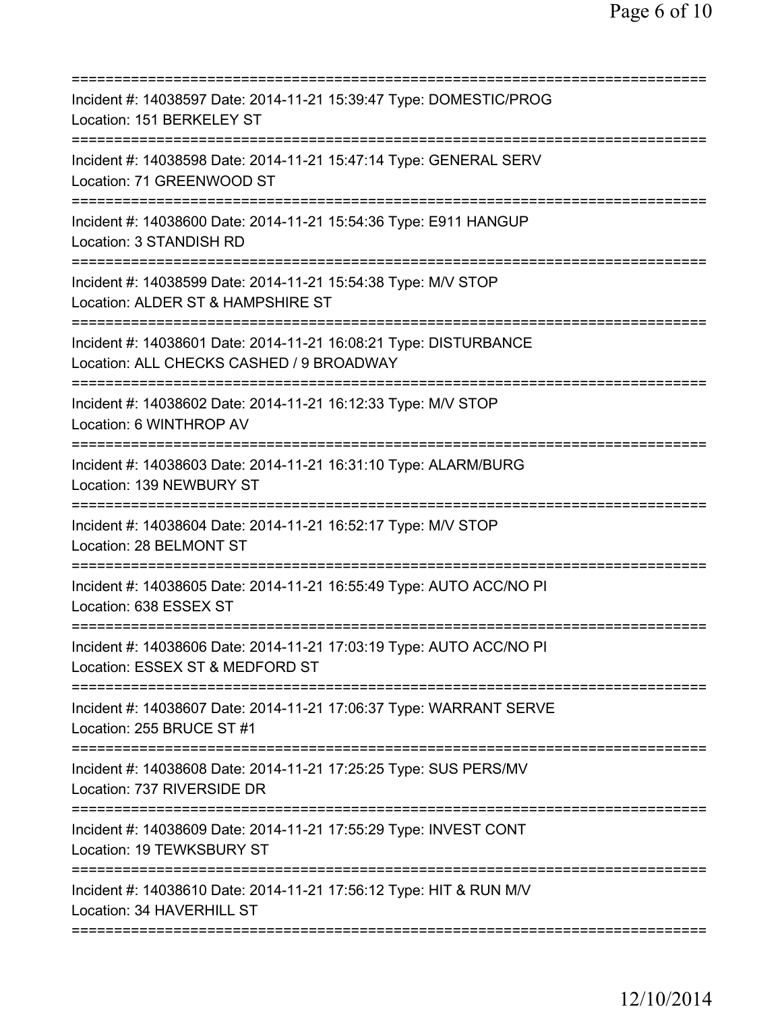| Incident #: 14038597 Date: 2014-11-21 15:39:47 Type: DOMESTIC/PROG<br>Location: 151 BERKELEY ST                                   |
|-----------------------------------------------------------------------------------------------------------------------------------|
| Incident #: 14038598 Date: 2014-11-21 15:47:14 Type: GENERAL SERV<br>Location: 71 GREENWOOD ST                                    |
| Incident #: 14038600 Date: 2014-11-21 15:54:36 Type: E911 HANGUP<br>Location: 3 STANDISH RD                                       |
| Incident #: 14038599 Date: 2014-11-21 15:54:38 Type: M/V STOP<br>Location: ALDER ST & HAMPSHIRE ST<br>=========================== |
| Incident #: 14038601 Date: 2014-11-21 16:08:21 Type: DISTURBANCE<br>Location: ALL CHECKS CASHED / 9 BROADWAY                      |
| Incident #: 14038602 Date: 2014-11-21 16:12:33 Type: M/V STOP<br>Location: 6 WINTHROP AV                                          |
| Incident #: 14038603 Date: 2014-11-21 16:31:10 Type: ALARM/BURG<br>Location: 139 NEWBURY ST                                       |
| Incident #: 14038604 Date: 2014-11-21 16:52:17 Type: M/V STOP<br>Location: 28 BELMONT ST                                          |
| Incident #: 14038605 Date: 2014-11-21 16:55:49 Type: AUTO ACC/NO PI<br>Location: 638 ESSEX ST                                     |
| Incident #: 14038606 Date: 2014-11-21 17:03:19 Type: AUTO ACC/NO PI<br>Location: ESSEX ST & MEDFORD ST                            |
| Incident #: 14038607 Date: 2014-11-21 17:06:37 Type: WARRANT SERVE<br>Location: 255 BRUCE ST #1                                   |
| Incident #: 14038608 Date: 2014-11-21 17:25:25 Type: SUS PERS/MV<br>Location: 737 RIVERSIDE DR                                    |
| Incident #: 14038609 Date: 2014-11-21 17:55:29 Type: INVEST CONT<br>Location: 19 TEWKSBURY ST                                     |
| Incident #: 14038610 Date: 2014-11-21 17:56:12 Type: HIT & RUN M/V<br>Location: 34 HAVERHILL ST                                   |
|                                                                                                                                   |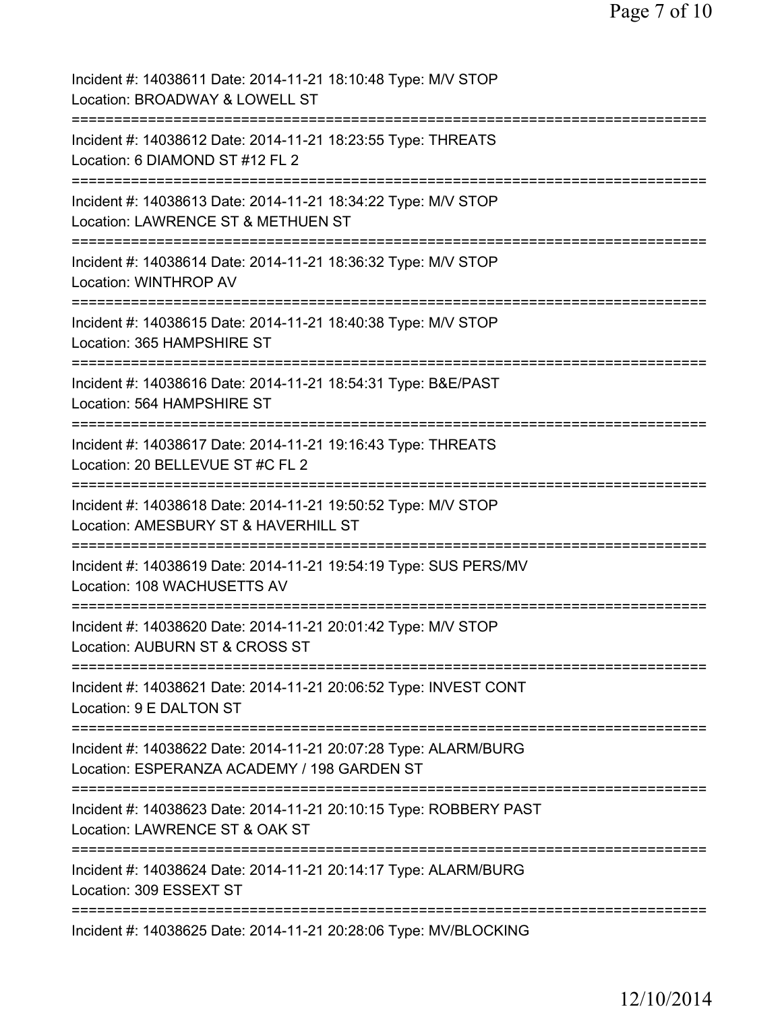| Incident #: 14038611 Date: 2014-11-21 18:10:48 Type: M/V STOP<br>Location: BROADWAY & LOWELL ST                              |
|------------------------------------------------------------------------------------------------------------------------------|
| Incident #: 14038612 Date: 2014-11-21 18:23:55 Type: THREATS<br>Location: 6 DIAMOND ST #12 FL 2                              |
| Incident #: 14038613 Date: 2014-11-21 18:34:22 Type: M/V STOP<br>Location: LAWRENCE ST & METHUEN ST                          |
| Incident #: 14038614 Date: 2014-11-21 18:36:32 Type: M/V STOP<br>Location: WINTHROP AV                                       |
| Incident #: 14038615 Date: 2014-11-21 18:40:38 Type: M/V STOP<br>Location: 365 HAMPSHIRE ST<br>=============                 |
| Incident #: 14038616 Date: 2014-11-21 18:54:31 Type: B&E/PAST<br>Location: 564 HAMPSHIRE ST                                  |
| Incident #: 14038617 Date: 2014-11-21 19:16:43 Type: THREATS<br>Location: 20 BELLEVUE ST #C FL 2                             |
| Incident #: 14038618 Date: 2014-11-21 19:50:52 Type: M/V STOP<br>Location: AMESBURY ST & HAVERHILL ST<br>===========         |
| =========================<br>Incident #: 14038619 Date: 2014-11-21 19:54:19 Type: SUS PERS/MV<br>Location: 108 WACHUSETTS AV |
| Incident #: 14038620 Date: 2014-11-21 20:01:42 Type: M/V STOP<br>Location: AUBURN ST & CROSS ST                              |
| Incident #: 14038621 Date: 2014-11-21 20:06:52 Type: INVEST CONT<br>Location: 9 E DALTON ST                                  |
| Incident #: 14038622 Date: 2014-11-21 20:07:28 Type: ALARM/BURG<br>Location: ESPERANZA ACADEMY / 198 GARDEN ST               |
| Incident #: 14038623 Date: 2014-11-21 20:10:15 Type: ROBBERY PAST<br>Location: LAWRENCE ST & OAK ST                          |
| Incident #: 14038624 Date: 2014-11-21 20:14:17 Type: ALARM/BURG<br>Location: 309 ESSEXT ST                                   |
| Incident #: 14038625 Date: 2014-11-21 20:28:06 Type: MV/BLOCKING                                                             |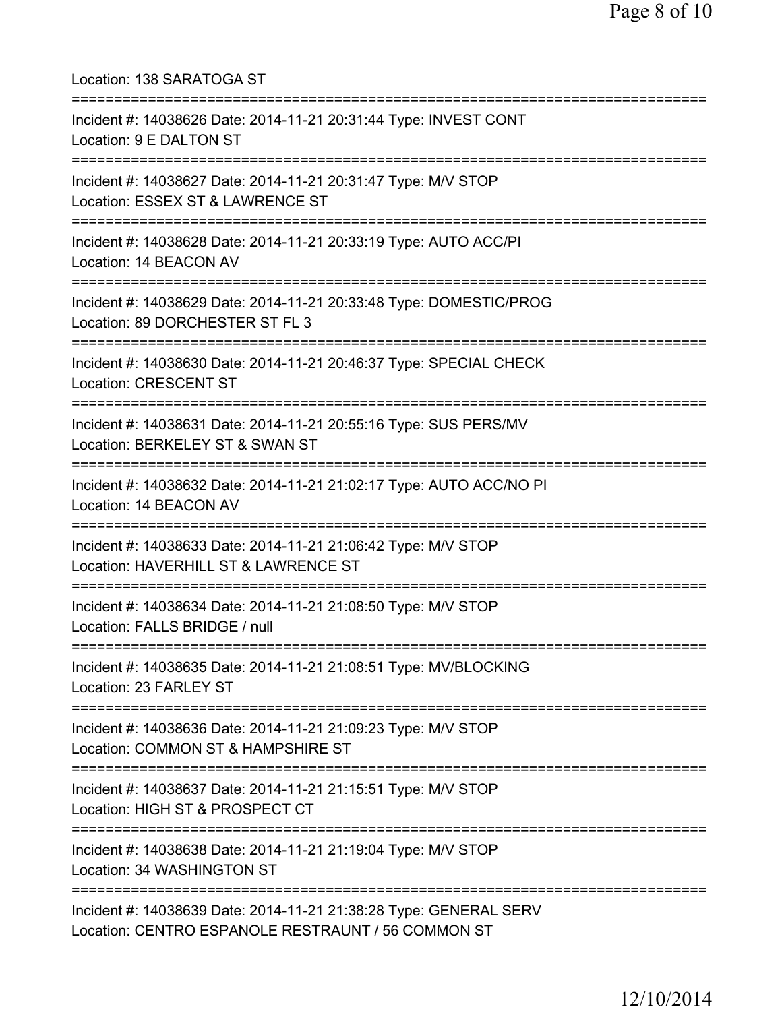| Location: 138 SARATOGA ST<br>====================================                                                                        |
|------------------------------------------------------------------------------------------------------------------------------------------|
| Incident #: 14038626 Date: 2014-11-21 20:31:44 Type: INVEST CONT<br>Location: 9 E DALTON ST<br>=================================         |
| Incident #: 14038627 Date: 2014-11-21 20:31:47 Type: M/V STOP<br>Location: ESSEX ST & LAWRENCE ST                                        |
| Incident #: 14038628 Date: 2014-11-21 20:33:19 Type: AUTO ACC/PI<br>Location: 14 BEACON AV                                               |
| ===============================<br>Incident #: 14038629 Date: 2014-11-21 20:33:48 Type: DOMESTIC/PROG<br>Location: 89 DORCHESTER ST FL 3 |
| ======================<br>Incident #: 14038630 Date: 2014-11-21 20:46:37 Type: SPECIAL CHECK<br>Location: CRESCENT ST                    |
| Incident #: 14038631 Date: 2014-11-21 20:55:16 Type: SUS PERS/MV<br>Location: BERKELEY ST & SWAN ST                                      |
| =========================<br>Incident #: 14038632 Date: 2014-11-21 21:02:17 Type: AUTO ACC/NO PI<br>Location: 14 BEACON AV               |
| Incident #: 14038633 Date: 2014-11-21 21:06:42 Type: M/V STOP<br>Location: HAVERHILL ST & LAWRENCE ST                                    |
| Incident #: 14038634 Date: 2014-11-21 21:08:50 Type: M/V STOP<br>Location: FALLS BRIDGE / null                                           |
| =====================================<br>Incident #: 14038635 Date: 2014-11-21 21:08:51 Type: MV/BLOCKING<br>Location: 23 FARLEY ST      |
| Incident #: 14038636 Date: 2014-11-21 21:09:23 Type: M/V STOP<br>Location: COMMON ST & HAMPSHIRE ST                                      |
| Incident #: 14038637 Date: 2014-11-21 21:15:51 Type: M/V STOP<br>Location: HIGH ST & PROSPECT CT                                         |
| Incident #: 14038638 Date: 2014-11-21 21:19:04 Type: M/V STOP<br>Location: 34 WASHINGTON ST                                              |
| Incident #: 14038639 Date: 2014-11-21 21:38:28 Type: GENERAL SERV<br>Location: CENTRO ESPANOLE RESTRAUNT / 56 COMMON ST                  |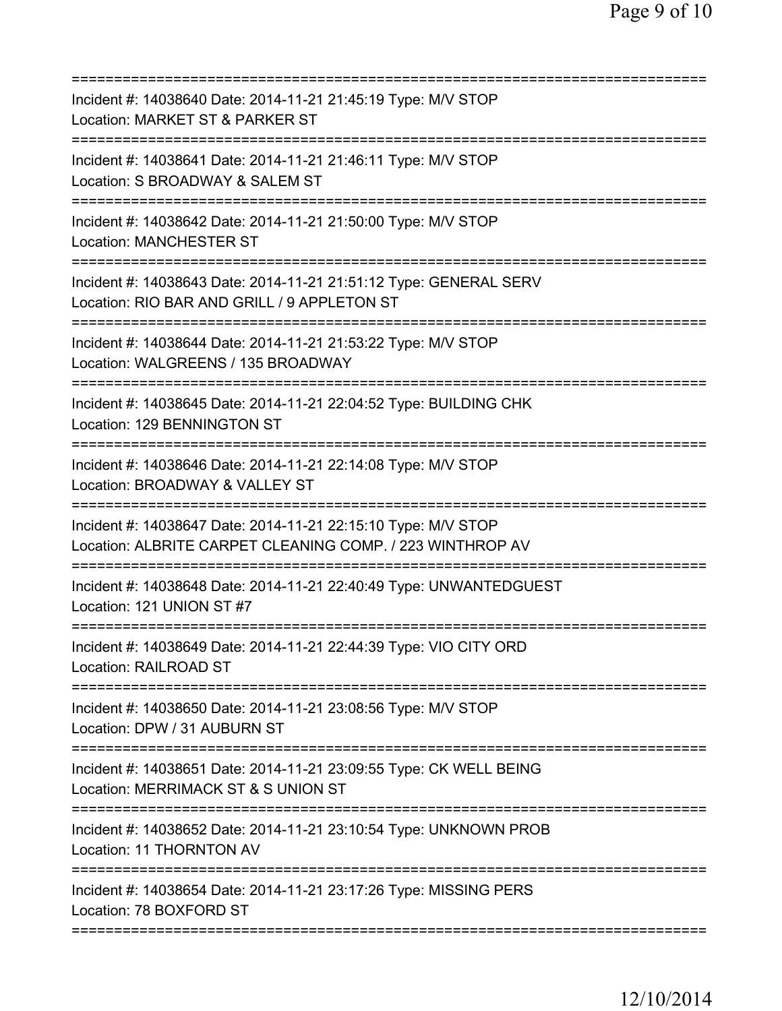| Incident #: 14038640 Date: 2014-11-21 21:45:19 Type: M/V STOP<br>Location: MARKET ST & PARKER ST                                         |
|------------------------------------------------------------------------------------------------------------------------------------------|
| Incident #: 14038641 Date: 2014-11-21 21:46:11 Type: M/V STOP<br>Location: S BROADWAY & SALEM ST                                         |
| Incident #: 14038642 Date: 2014-11-21 21:50:00 Type: M/V STOP<br><b>Location: MANCHESTER ST</b>                                          |
| Incident #: 14038643 Date: 2014-11-21 21:51:12 Type: GENERAL SERV<br>Location: RIO BAR AND GRILL / 9 APPLETON ST                         |
| Incident #: 14038644 Date: 2014-11-21 21:53:22 Type: M/V STOP<br>Location: WALGREENS / 135 BROADWAY                                      |
| Incident #: 14038645 Date: 2014-11-21 22:04:52 Type: BUILDING CHK<br>Location: 129 BENNINGTON ST                                         |
| Incident #: 14038646 Date: 2014-11-21 22:14:08 Type: M/V STOP<br>Location: BROADWAY & VALLEY ST<br>:===========                          |
| Incident #: 14038647 Date: 2014-11-21 22:15:10 Type: M/V STOP<br>Location: ALBRITE CARPET CLEANING COMP. / 223 WINTHROP AV               |
| Incident #: 14038648 Date: 2014-11-21 22:40:49 Type: UNWANTEDGUEST<br>Location: 121 UNION ST #7                                          |
| Incident #: 14038649 Date: 2014-11-21 22:44:39 Type: VIO CITY ORD<br><b>Location: RAILROAD ST</b>                                        |
| Incident #: 14038650 Date: 2014-11-21 23:08:56 Type: M/V STOP<br>Location: DPW / 31 AUBURN ST                                            |
| ===========================<br>Incident #: 14038651 Date: 2014-11-21 23:09:55 Type: CK WELL BEING<br>Location: MERRIMACK ST & S UNION ST |
| Incident #: 14038652 Date: 2014-11-21 23:10:54 Type: UNKNOWN PROB<br>Location: 11 THORNTON AV                                            |
| Incident #: 14038654 Date: 2014-11-21 23:17:26 Type: MISSING PERS<br>Location: 78 BOXFORD ST                                             |
|                                                                                                                                          |